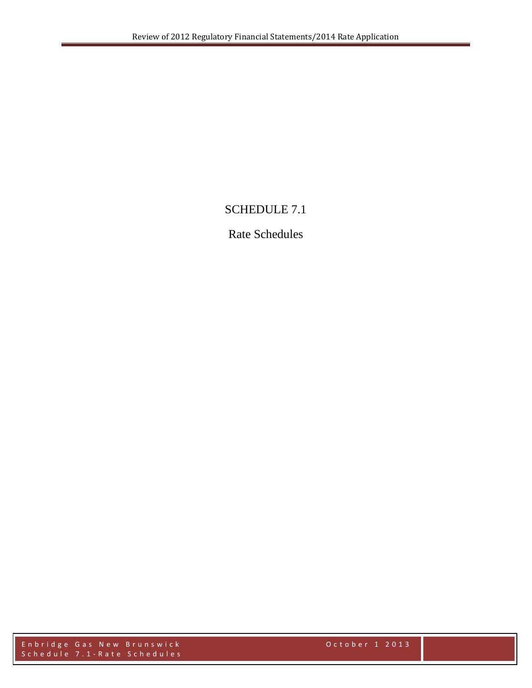## SCHEDULE 7.1

## Rate Schedules

Enbridge Gas New Brunswick October 1 2013 Schedule 7.1 - Rate Schedules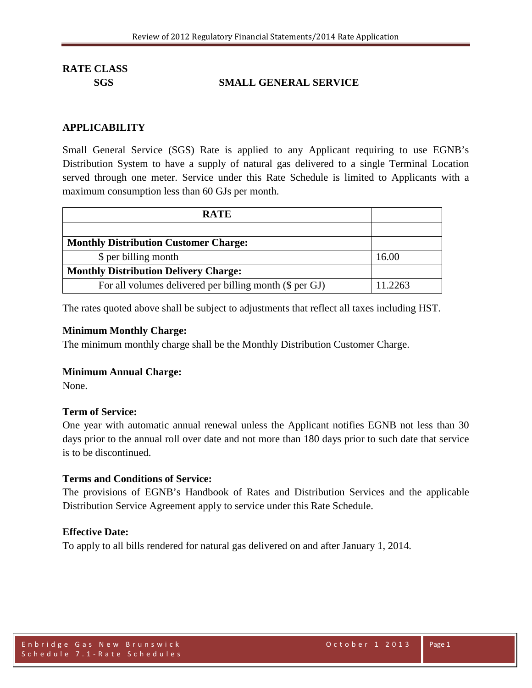## **SGS SMALL GENERAL SERVICE**

#### **APPLICABILITY**

Small General Service (SGS) Rate is applied to any Applicant requiring to use EGNB's Distribution System to have a supply of natural gas delivered to a single Terminal Location served through one meter. Service under this Rate Schedule is limited to Applicants with a maximum consumption less than 60 GJs per month.

| <b>RATE</b>                                             |         |
|---------------------------------------------------------|---------|
|                                                         |         |
| <b>Monthly Distribution Customer Charge:</b>            |         |
| \$ per billing month                                    | 16.00   |
| <b>Monthly Distribution Delivery Charge:</b>            |         |
| For all volumes delivered per billing month (\$ per GJ) | 11.2263 |

The rates quoted above shall be subject to adjustments that reflect all taxes including HST.

#### **Minimum Monthly Charge:**

The minimum monthly charge shall be the Monthly Distribution Customer Charge.

#### **Minimum Annual Charge:**

None.

#### **Term of Service:**

One year with automatic annual renewal unless the Applicant notifies EGNB not less than 30 days prior to the annual roll over date and not more than 180 days prior to such date that service is to be discontinued.

#### **Terms and Conditions of Service:**

The provisions of EGNB's Handbook of Rates and Distribution Services and the applicable Distribution Service Agreement apply to service under this Rate Schedule.

#### **Effective Date:**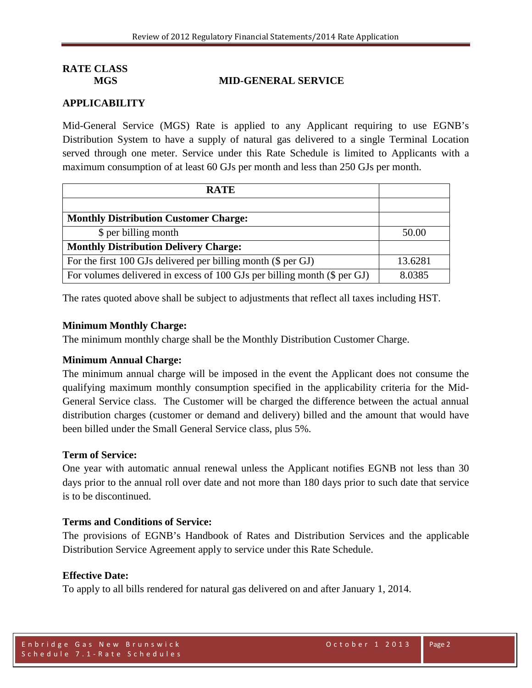#### **MGS MID-GENERAL SERVICE**

## **APPLICABILITY**

Mid-General Service (MGS) Rate is applied to any Applicant requiring to use EGNB's Distribution System to have a supply of natural gas delivered to a single Terminal Location served through one meter. Service under this Rate Schedule is limited to Applicants with a maximum consumption of at least 60 GJs per month and less than 250 GJs per month.

| <b>RATE</b>                                                              |         |
|--------------------------------------------------------------------------|---------|
|                                                                          |         |
| <b>Monthly Distribution Customer Charge:</b>                             |         |
| \$ per billing month                                                     | 50.00   |
| <b>Monthly Distribution Delivery Charge:</b>                             |         |
| For the first 100 GJs delivered per billing month (\$ per GJ)            | 13.6281 |
| For volumes delivered in excess of 100 GJs per billing month (\$ per GJ) | 8.0385  |

The rates quoted above shall be subject to adjustments that reflect all taxes including HST.

#### **Minimum Monthly Charge:**

The minimum monthly charge shall be the Monthly Distribution Customer Charge.

#### **Minimum Annual Charge:**

The minimum annual charge will be imposed in the event the Applicant does not consume the qualifying maximum monthly consumption specified in the applicability criteria for the Mid-General Service class. The Customer will be charged the difference between the actual annual distribution charges (customer or demand and delivery) billed and the amount that would have been billed under the Small General Service class, plus 5%.

#### **Term of Service:**

One year with automatic annual renewal unless the Applicant notifies EGNB not less than 30 days prior to the annual roll over date and not more than 180 days prior to such date that service is to be discontinued.

#### **Terms and Conditions of Service:**

The provisions of EGNB's Handbook of Rates and Distribution Services and the applicable Distribution Service Agreement apply to service under this Rate Schedule.

#### **Effective Date:**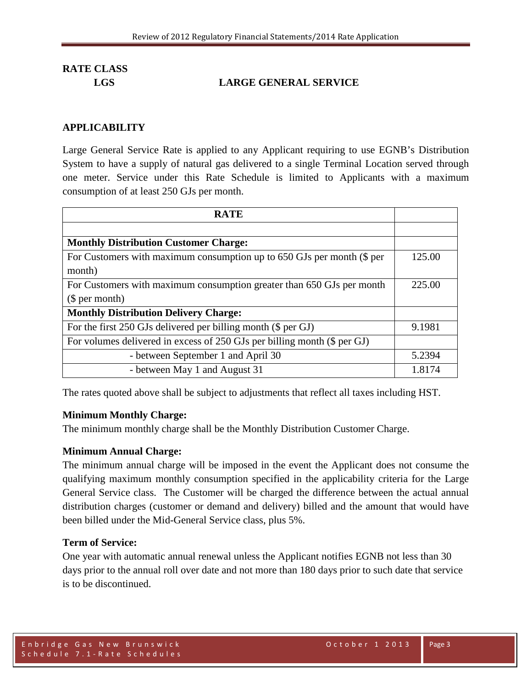## **LGS LARGE GENERAL SERVICE**

## **APPLICABILITY**

Large General Service Rate is applied to any Applicant requiring to use EGNB's Distribution System to have a supply of natural gas delivered to a single Terminal Location served through one meter. Service under this Rate Schedule is limited to Applicants with a maximum consumption of at least 250 GJs per month.

| <b>RATE</b>                                                              |        |
|--------------------------------------------------------------------------|--------|
|                                                                          |        |
| <b>Monthly Distribution Customer Charge:</b>                             |        |
| For Customers with maximum consumption up to 650 GJs per month (\$ per   | 125.00 |
| month)                                                                   |        |
| For Customers with maximum consumption greater than 650 GJs per month    | 225.00 |
| \$per month)                                                             |        |
| <b>Monthly Distribution Delivery Charge:</b>                             |        |
| For the first 250 GJs delivered per billing month (\$ per GJ)            | 9.1981 |
| For volumes delivered in excess of 250 GJs per billing month (\$ per GJ) |        |
| - between September 1 and April 30                                       | 5.2394 |
| - between May 1 and August 31                                            | 1.8174 |

The rates quoted above shall be subject to adjustments that reflect all taxes including HST.

## **Minimum Monthly Charge:**

The minimum monthly charge shall be the Monthly Distribution Customer Charge.

## **Minimum Annual Charge:**

The minimum annual charge will be imposed in the event the Applicant does not consume the qualifying maximum monthly consumption specified in the applicability criteria for the Large General Service class. The Customer will be charged the difference between the actual annual distribution charges (customer or demand and delivery) billed and the amount that would have been billed under the Mid-General Service class, plus 5%.

## **Term of Service:**

One year with automatic annual renewal unless the Applicant notifies EGNB not less than 30 days prior to the annual roll over date and not more than 180 days prior to such date that service is to be discontinued.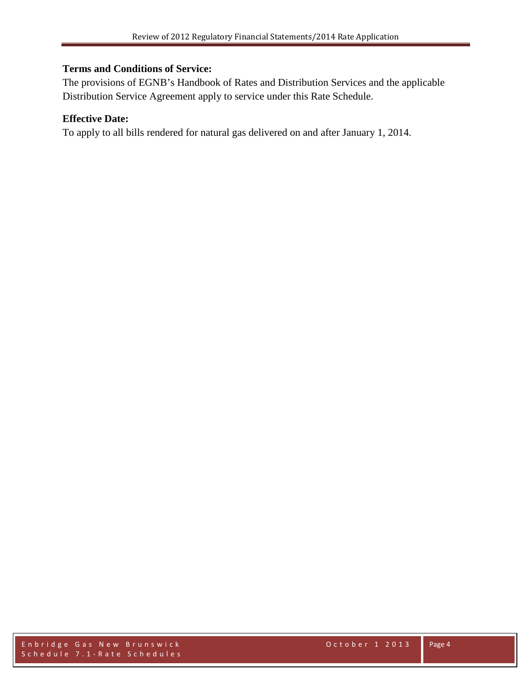## **Terms and Conditions of Service:**

The provisions of EGNB's Handbook of Rates and Distribution Services and the applicable Distribution Service Agreement apply to service under this Rate Schedule.

## **Effective Date:**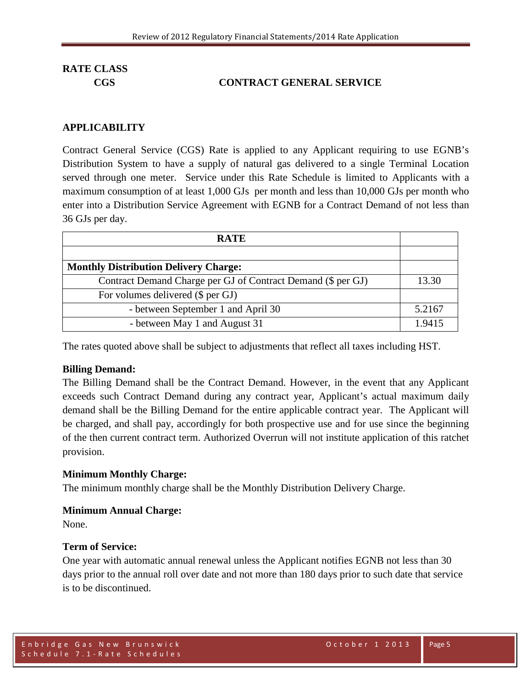## **CGS CONTRACT GENERAL SERVICE**

#### **APPLICABILITY**

Contract General Service (CGS) Rate is applied to any Applicant requiring to use EGNB's Distribution System to have a supply of natural gas delivered to a single Terminal Location served through one meter. Service under this Rate Schedule is limited to Applicants with a maximum consumption of at least 1,000 GJs per month and less than 10,000 GJs per month who enter into a Distribution Service Agreement with EGNB for a Contract Demand of not less than 36 GJs per day.

| <b>RATE</b>                                                  |        |
|--------------------------------------------------------------|--------|
|                                                              |        |
| <b>Monthly Distribution Delivery Charge:</b>                 |        |
| Contract Demand Charge per GJ of Contract Demand (\$ per GJ) | 13.30  |
| For volumes delivered (\$ per GJ)                            |        |
| - between September 1 and April 30                           | 5.2167 |
| - between May 1 and August 31                                | 1.9415 |

The rates quoted above shall be subject to adjustments that reflect all taxes including HST.

#### **Billing Demand:**

The Billing Demand shall be the Contract Demand. However, in the event that any Applicant exceeds such Contract Demand during any contract year, Applicant's actual maximum daily demand shall be the Billing Demand for the entire applicable contract year. The Applicant will be charged, and shall pay, accordingly for both prospective use and for use since the beginning of the then current contract term. Authorized Overrun will not institute application of this ratchet provision.

#### **Minimum Monthly Charge:**

The minimum monthly charge shall be the Monthly Distribution Delivery Charge.

#### **Minimum Annual Charge:**

None.

#### **Term of Service:**

One year with automatic annual renewal unless the Applicant notifies EGNB not less than 30 days prior to the annual roll over date and not more than 180 days prior to such date that service is to be discontinued.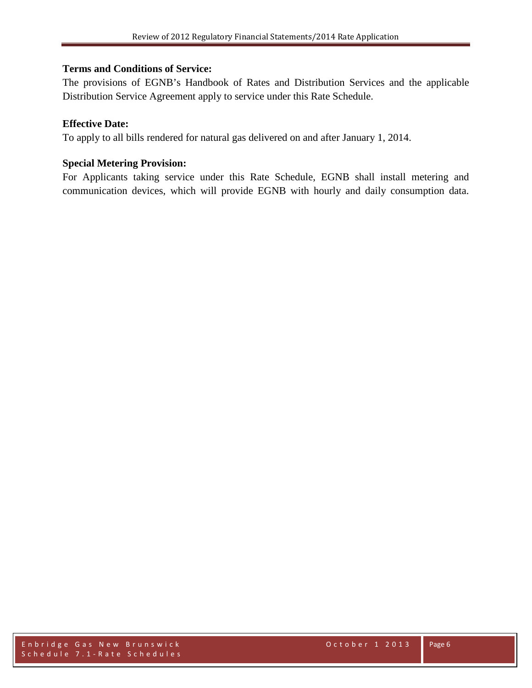## **Terms and Conditions of Service:**

The provisions of EGNB's Handbook of Rates and Distribution Services and the applicable Distribution Service Agreement apply to service under this Rate Schedule.

## **Effective Date:**

To apply to all bills rendered for natural gas delivered on and after January 1, 2014.

## **Special Metering Provision:**

For Applicants taking service under this Rate Schedule, EGNB shall install metering and communication devices, which will provide EGNB with hourly and daily consumption data.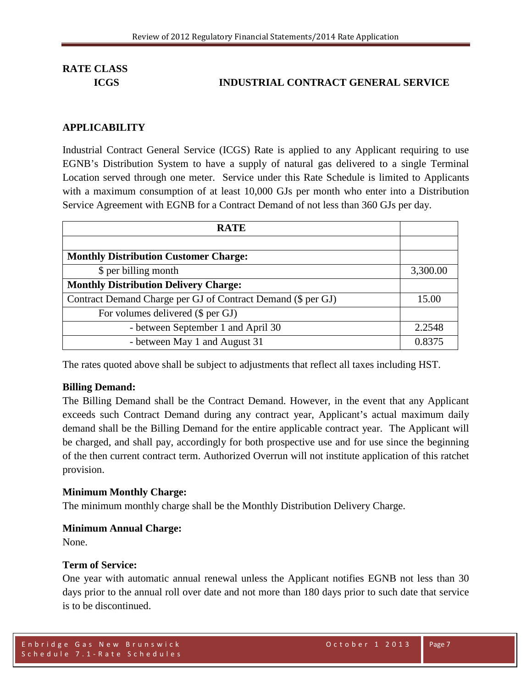## **ICGS INDUSTRIAL CONTRACT GENERAL SERVICE**

#### **APPLICABILITY**

Industrial Contract General Service (ICGS) Rate is applied to any Applicant requiring to use EGNB's Distribution System to have a supply of natural gas delivered to a single Terminal Location served through one meter. Service under this Rate Schedule is limited to Applicants with a maximum consumption of at least 10,000 GJs per month who enter into a Distribution Service Agreement with EGNB for a Contract Demand of not less than 360 GJs per day.

| <b>RATE</b>                                                  |          |
|--------------------------------------------------------------|----------|
|                                                              |          |
| <b>Monthly Distribution Customer Charge:</b>                 |          |
| \$ per billing month                                         | 3,300.00 |
| <b>Monthly Distribution Delivery Charge:</b>                 |          |
| Contract Demand Charge per GJ of Contract Demand (\$ per GJ) | 15.00    |
| For volumes delivered (\$ per GJ)                            |          |
| - between September 1 and April 30                           | 2.2548   |
| - between May 1 and August 31                                | 0.8375   |

The rates quoted above shall be subject to adjustments that reflect all taxes including HST.

#### **Billing Demand:**

The Billing Demand shall be the Contract Demand. However, in the event that any Applicant exceeds such Contract Demand during any contract year, Applicant's actual maximum daily demand shall be the Billing Demand for the entire applicable contract year. The Applicant will be charged, and shall pay, accordingly for both prospective use and for use since the beginning of the then current contract term. Authorized Overrun will not institute application of this ratchet provision.

#### **Minimum Monthly Charge:**

The minimum monthly charge shall be the Monthly Distribution Delivery Charge.

#### **Minimum Annual Charge:**

None.

#### **Term of Service:**

One year with automatic annual renewal unless the Applicant notifies EGNB not less than 30 days prior to the annual roll over date and not more than 180 days prior to such date that service is to be discontinued.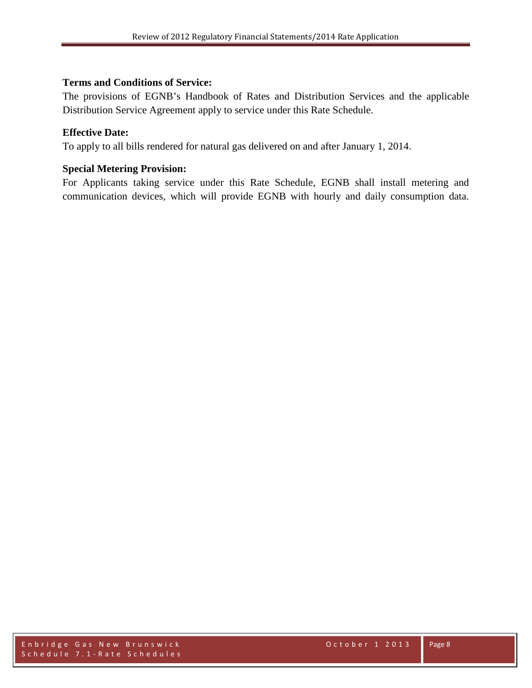## **Terms and Conditions of Service:**

The provisions of EGNB's Handbook of Rates and Distribution Services and the applicable Distribution Service Agreement apply to service under this Rate Schedule.

## **Effective Date:**

To apply to all bills rendered for natural gas delivered on and after January 1, 2014.

## **Special Metering Provision:**

For Applicants taking service under this Rate Schedule, EGNB shall install metering and communication devices, which will provide EGNB with hourly and daily consumption data.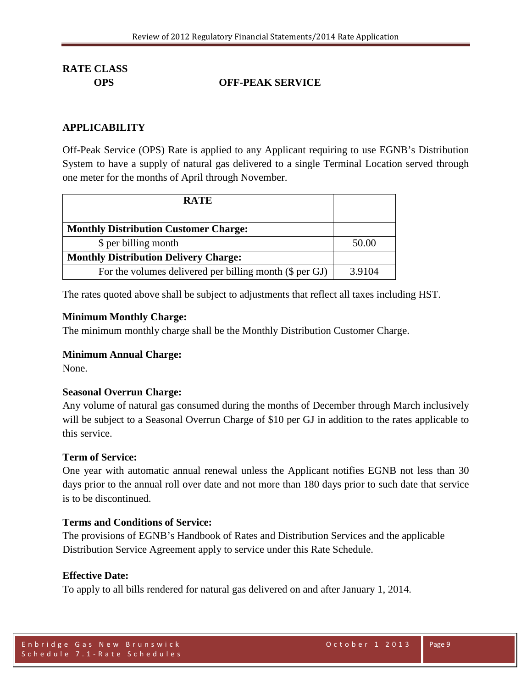## **OPS OFF-PEAK SERVICE**

## **APPLICABILITY**

Off-Peak Service (OPS) Rate is applied to any Applicant requiring to use EGNB's Distribution System to have a supply of natural gas delivered to a single Terminal Location served through one meter for the months of April through November.

| <b>RATE</b>                                             |        |
|---------------------------------------------------------|--------|
|                                                         |        |
| <b>Monthly Distribution Customer Charge:</b>            |        |
| \$ per billing month                                    | 50.00  |
| <b>Monthly Distribution Delivery Charge:</b>            |        |
| For the volumes delivered per billing month (\$ per GJ) | 3.9104 |

The rates quoted above shall be subject to adjustments that reflect all taxes including HST.

#### **Minimum Monthly Charge:**

The minimum monthly charge shall be the Monthly Distribution Customer Charge.

## **Minimum Annual Charge:**

None.

## **Seasonal Overrun Charge:**

Any volume of natural gas consumed during the months of December through March inclusively will be subject to a Seasonal Overrun Charge of \$10 per GJ in addition to the rates applicable to this service.

## **Term of Service:**

One year with automatic annual renewal unless the Applicant notifies EGNB not less than 30 days prior to the annual roll over date and not more than 180 days prior to such date that service is to be discontinued.

## **Terms and Conditions of Service:**

The provisions of EGNB's Handbook of Rates and Distribution Services and the applicable Distribution Service Agreement apply to service under this Rate Schedule.

## **Effective Date:**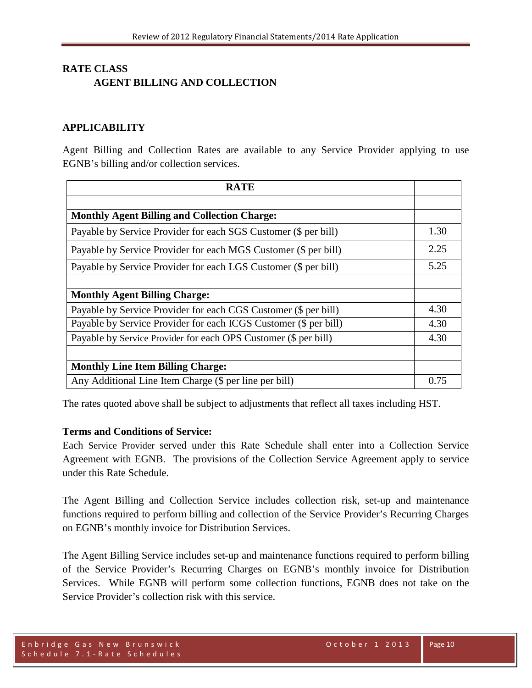## **RATE CLASS AGENT BILLING AND COLLECTION**

## **APPLICABILITY**

Agent Billing and Collection Rates are available to any Service Provider applying to use EGNB's billing and/or collection services.

| <b>RATE</b>                                                      |      |
|------------------------------------------------------------------|------|
|                                                                  |      |
| <b>Monthly Agent Billing and Collection Charge:</b>              |      |
| Payable by Service Provider for each SGS Customer (\$ per bill)  | 1.30 |
| Payable by Service Provider for each MGS Customer (\$ per bill)  | 2.25 |
| Payable by Service Provider for each LGS Customer (\$ per bill)  | 5.25 |
|                                                                  |      |
| <b>Monthly Agent Billing Charge:</b>                             |      |
| Payable by Service Provider for each CGS Customer (\$ per bill)  | 4.30 |
| Payable by Service Provider for each ICGS Customer (\$ per bill) | 4.30 |
| Payable by Service Provider for each OPS Customer (\$ per bill)  | 4.30 |
|                                                                  |      |
| <b>Monthly Line Item Billing Charge:</b>                         |      |
| Any Additional Line Item Charge (\$ per line per bill)           | 0.75 |

The rates quoted above shall be subject to adjustments that reflect all taxes including HST.

## **Terms and Conditions of Service:**

Each Service Provider served under this Rate Schedule shall enter into a Collection Service Agreement with EGNB. The provisions of the Collection Service Agreement apply to service under this Rate Schedule.

The Agent Billing and Collection Service includes collection risk, set-up and maintenance functions required to perform billing and collection of the Service Provider's Recurring Charges on EGNB's monthly invoice for Distribution Services.

The Agent Billing Service includes set-up and maintenance functions required to perform billing of the Service Provider's Recurring Charges on EGNB's monthly invoice for Distribution Services. While EGNB will perform some collection functions, EGNB does not take on the Service Provider's collection risk with this service.